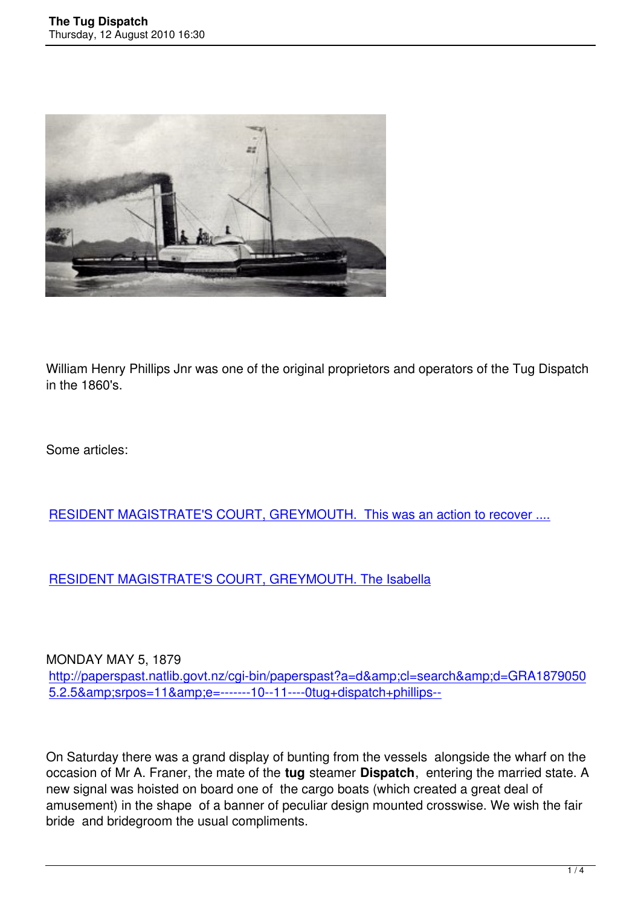

William Henry Phillips Jnr was one of the original proprietors and operators of the Tug Dispatch in the 1860's.

Some articles:

### RESIDENT MAGISTRATE'S COURT, GREYMOUTH. This was an action to recover ....

#### [RESIDENT MAGISTRATE'S COURT, GREYMOUTH. The Isabella](http://paperspast.natlib.govt.nz/cgi-bin/paperspast?a=d&d=GRA18670416.2.10)

#### MONDAY MAY 5, 1879

http://paperspast.natlib.govt.nz/cgi-bin/paperspast?a=d&cl=search&d=GRA1879050 5.2.5&srpos=11&e=-------10--11----0tug+dispatch+phillips--

[On Saturday there was a grand display of bunting from the vessels a](http://paperspast.natlib.govt.nz/cgi-bin/paperspast?a=d&cl=search&d=GRA18790505.2.5&srpos=11&e=-------10--11----0tug+dispatch+phillips--)longside the wharf on the occasion of Mr A. Franer, the mate of the **tug** steamer **Dispatch**, entering the married state. A new signal was hoisted on board one of the cargo boats (which created a great deal of amusement) in the shape of a banner of peculiar design mounted crosswise. We wish the fair bride and bridegroom the usual compliments.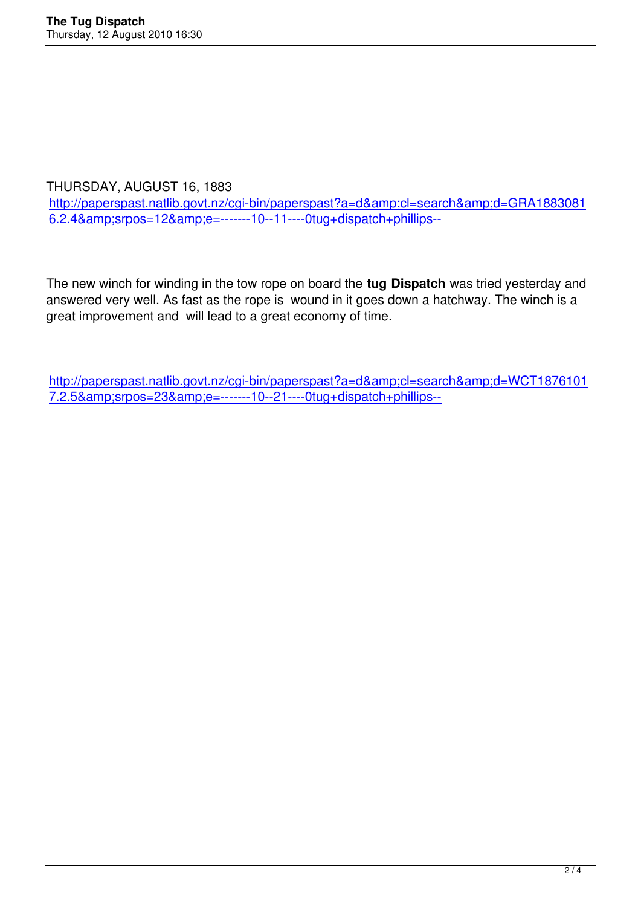THURSDAY, AUGUST 16, 1883

http://paperspast.natlib.govt.nz/cgi-bin/paperspast?a=d&cl=search&d=GRA1883081  $6.2.4\& srpos=12& e=\n---10-11--0tug+dispatch+philips-$ 

[The new winch for winding in the tow rope on board the](http://paperspast.natlib.govt.nz/cgi-bin/paperspast?a=d&cl=search&d=GRA18830816.2.4&srpos=12&e=-------10--11----0tug+dispatch+phillips--) **tug Dispatch** was tried yesterday and answered very well. As fast as the rope is wound in it goes down a hatchway. The winch is a great improvement and will lead to a great economy of time.

http://paperspast.natlib.govt.nz/cgi-bin/paperspast?a=d&cl=search&d=WCT1876101 7.2.5&srpos=23&e=-------10--21----0tug+dispatch+phillips--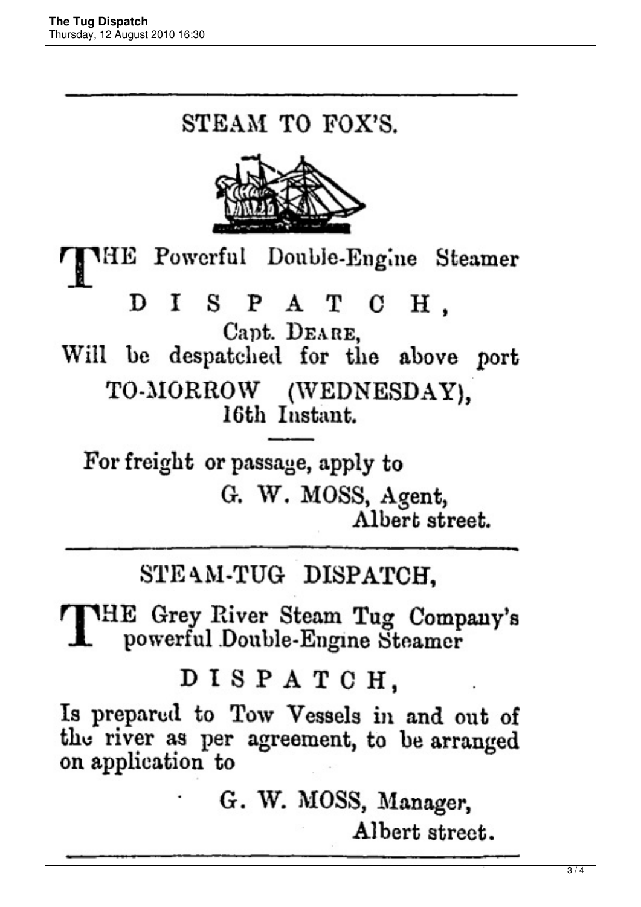# STEAM TO FOX'S.



THE Powerful Double-Engine Steamer SPATCH. D Т Capt. DEARE. Will be despatched for the above port TO-MORROW (WEDNESDAY). 16th Instant.

For freight or passage, apply to G. W. MOSS, Agent, Albert street.

## STEAM-TUG DISPATCH.

THE Grey River Steam Tug Company's powerful Double-Engine Steamer

### DISPATCH,

Is prepared to Tow Vessels in and out of the river as per agreement, to be arranged on application to

> G. W. MOSS, Manager, Albert street.